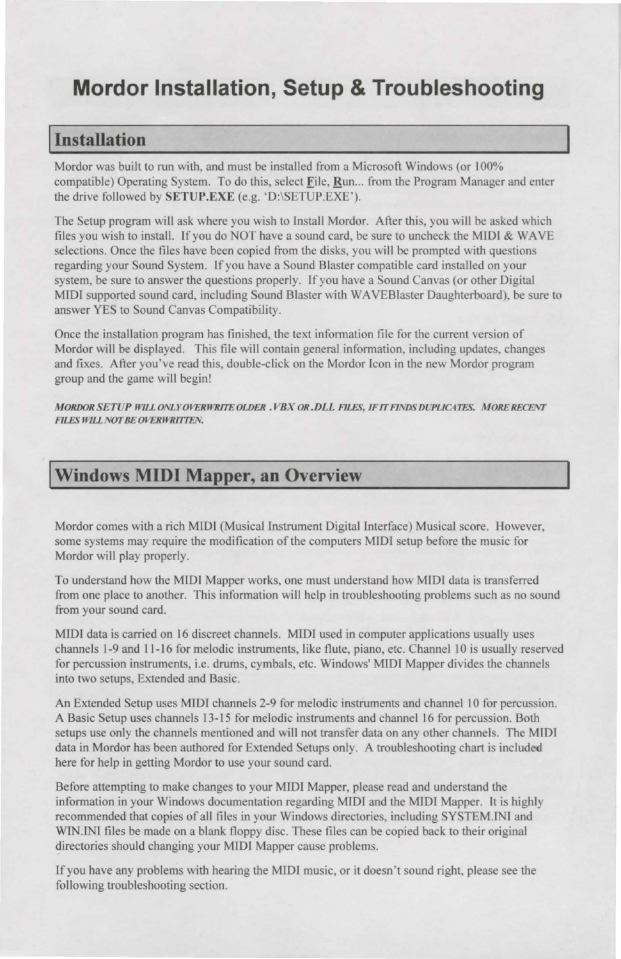# **Mordor Installation, Setup & Troubleshooting**

### I **Installation**

Mordor was built to run with, and must be installed from a Microsoft Windows (or I 00% compatible) Operating System. To do this, select File, Run... from the Program Manager and enter the drive followed by SETUP.EXE (e.g. 'D:\SETUP.EXE').

The Setup program will ask where you wish to Install Mordor. After this, you will be asked which files you wish to install. If you do NOT have a sound card, be sure to uncheck the MIDI & WAVE selections. Once the files have been copied from the disks, you will be prompted with questions regarding your Sound System. If you have a Sound Blaster compatible card installed on your system, be sure to answer the questions properly. If you have a Sound Canvas (or other Digital MIDI supported sound card, including Sound Blaster with WA VEBlaster Daughterboard), be sure to answer YES to Sound Canvas Compatibility.

Once the installation program has finished, the text information file for the current version of Mordor will be displayed. This file will contain general information, including updates, changes and fixes. After you've read this, double-click on the Mordor Icon in the new Mordor program group and the game will begin!

**MORDOR SETUP WILL ONLY OVERWRITE OLDER . VBX OR. DLL FILES, IF IT FINDS DUPLICATES. MORE RECENT FILES WILL NOT BE OVERWRITTEN.** 

## I **windows MIDI Mapper, an Overview**

Mordor comes with a rich MIDI (Musical Instrument Digital Interface) Musical score. However, some systems may require the modification of the computers MIDI setup before the music for Mordor will play properly.

To understand how the MIDI Mapper works, one must understand how MIDI data is transferred from one place to another. This information will help in troubleshooting problems such as no sound from your sound card.

MIDI data is carried on 16 discreet channels. MIDI used in computer applications usually uses channels 1-9 and 11-16 for melodic instruments, like flute, piano, etc. Channel 10 is usually reserved for percussion instruments, i.e. drums, cymbals, etc. Windows' MIDI Mapper divides the channels into two setups, Extended and Basic.

An Extended Setup uses MIDI channels 2-9 for melodic instruments and channel 10 for percussion. A Basic Setup uses channels 13-15 for melodic instruments and channel 16 for percussion. Both setups use only the channels mentioned and will not transfer data on any other channels. The MIDI data in Mordor has been authored for Extended Setups only. A troubleshooting chart is included here for help in getting Mordor to use your sound card.

Before attempting to make changes to your MIDI Mapper, please read and understand the information in your Windows documentation regarding MTDI and the MIDI Mapper. It is highly recommended that copies of all files in your Windows directories, including SY TEM.INI and WIN.INI files be made on a blank floppy disc. These files can be copied back to their original directories should changing your MIDI Mapper cause problems.

If you have any problems with hearing the MIDI music, or it doesn't sound right, please see the following troubleshooting section.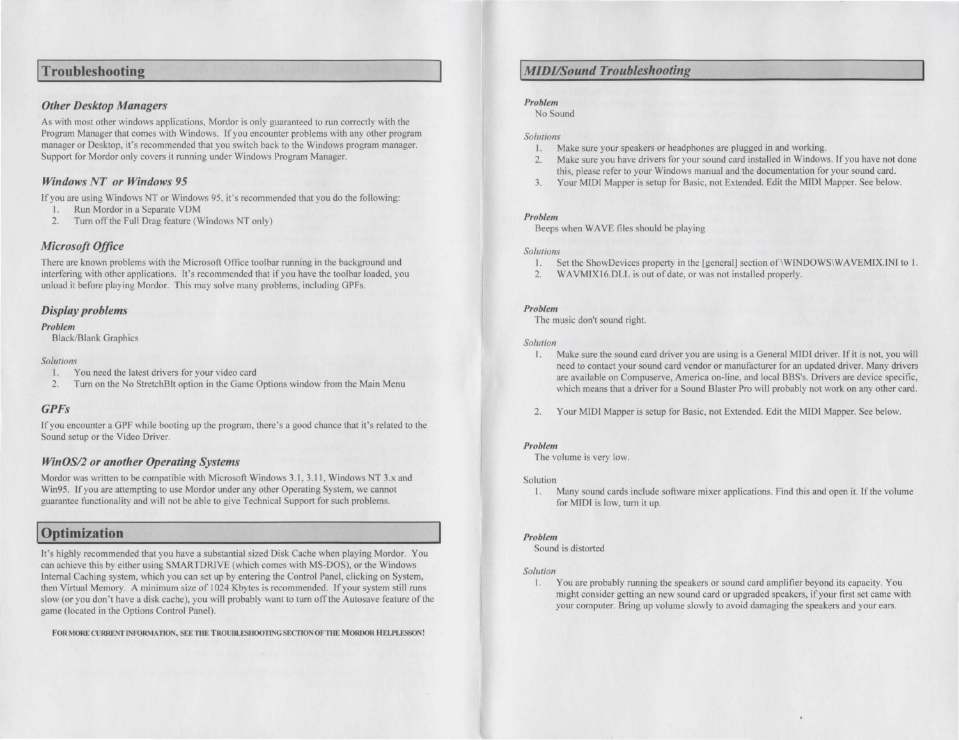### **I Troubleshooting**

### *Other Desktop Managers*

As with most other windows applications, Mordor is only guaranteed to run correctly with the Program Manager that comes with Windows. If you encounter problems with any other program manager or Desktop, it's recommended that you switch back to the Windows program manager. Support for Mordor only covers it running under Windows Program Manager.

### *Windows NT or Windows 95*

If you are using Windows NT or Windows 95, it's recommended that you do the following:

- I. Run Mordor in a Separate VDM
- 2. Turn off the Full Drag feature (Windows NT only)

### *Microsoft Office*

There are known problems with the Microsoft Office toolbar running in the background and interfering with other applications. It's recommended that if you have the toolbar loaded, you unload it before playing Mordor. This may solve many problems, including GPFs.

### *Display problems*

#### *Problem*

Black/Blank Graphics

#### *Solutions*

- You need the latest drivers for your video card
- 2. Turn on the No StretchBlt option in the Game Options window from the Main Menu

### *GPFs*

If you encounter a GPF while booting up the program, there's a good chance that it's related to the Sound setup or the Video Driver.

### *WinOS/2 or another Operating Systems*

Mordor was written to be compatible with Microsoft Windows 3.1, 3.11, Windows NT 3.x and Win95. If you are attempting to use Mordor under any other Operating System, we cannot guarantee functionality and will not be able to give Technical Support for such problems.

# **I Optimization**

It's highly recommended that you have a substantial sized Disk Cache when playing Mordor. You can achieve this by either using SMARTDRIVE (which comes with MS-DOS), or the Windows Internal Caching system, which you can set up by entering the Control Panel, clicking on System, then Virtual Memory. A minimum size of 1024 Kbytes is recommended. If your system still runs slow (or you don't have a disk cache), you will probably want to turn off the Autosave feature of the game (located in the Options Control Panel).

FOR MORE CURRENT INFORMATION, SEE THE TROUBLESHOOTING SECTION OF THE MORDOR HELPLESSON!

### **I** *MIDI/Sound Troubleshooting*

### *Problem*

No Sound

#### *Solutions*

- I. Make sure your speakers or headphones are plugged in and working.
- 2. Make sure you have drivers for your sound card installed in Windows. If you have not done this, please refer to your Windows manual and the documentation for your sound card.
- 3. Your MIDI Mapper is setup for Basic, not Extended. Edit the MIDI Mapper. See below.

### *Problem*

Beeps when WAVE files should be playing

#### *Solutions*

- I. Set the ShowDevices property in the [general] section of\WINDOWSIWA VEMIX.INf to I.
- 2. WAVMJXl6.DLL is out of date, or was not installed properly.

### *Problem*

The music don't sound right.

#### *So/urion*

- 1. Make sure the sound card driver you are using is a General MIDI driver. If it is not, you will need to contact your sound card vendor or manufacturer for an updated driver. Many drivers are available on Compuserve, America on-line, and local BBS's. Drivers are device specific, which means that a driver for a Sound Blaster Pro will probably not work on any other card.
- 2. Your MIDI Mapper is setup for Basic, not Extended. Edit the MIDI Mapper. See below.

### *Problem*

The volume is very low.

### Solution

I. Many sound cards include software mixer applications. Find this and open it. If the volume for MIDI is low, turn it up.

### *Problem*

Sound is distorted

### *Solution*

1. You are probably running the speakers or sound card amplifier beyond its capacity. You might consider getting an new sound card or upgraded speakers, if your first set came with your computer. Bring up volume slowly to avoid damaging the speakers and your ears.